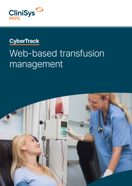

### **CyberTrack**

# Web-based transfusion management

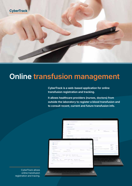

## Online transfusion management

CyberTrack is a web-based application for online transfusion registration and tracking.

It allows healthcare providers (nurses, doctors) from outside the laboratory to register a blood transfusion and to consult recent, current and future transfusion info.



CyberTrack allows online transfusion registration and tracing.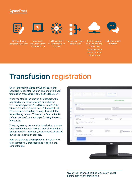#### **CyberTrack**





**Transfusion** outside the lab



Full traceability

process

Transfusion history consultation



Online retrieval of blood bag and patient info Fast and secure communication with the lab



Multilingual user interface

# Transfusion registration

One of the main features of CyberTrack is the possibility to register the start and end of a blood transfusion process from outside the laboratory.

When registering the start of a transfusion, the responsible doctor or assisting nurse has to scan both the patient ID and blood bag ID. This information will be sent to the LIS that will check if the scanned blood bag is compatible with the patient being treated. This offers a final bed-side safety check before actually performing the blood transfusion.

When registering the end of a transfusion, you can indicate if the transfusion has been interrupted and log any possible reactions (fever, nausea) observed during the transfusion process.

Both the start and end registration in CyberTrack are automatically processed and logged in the connected LIS.

| 2) Transfesierints<br><b>Hopca eription</b><br>Rengancy Court<br>Elertyn Absolute (Ok.)<br><b>HAMILI</b><br>TORCH D.C.<br>Д описомалю 9.<br>Abreved us.<br>R.C.<br>in tringless.<br><b>STEPS</b><br>15/12/2021 00:30:05<br>75<br>Extra infact autone as asseming (12/12/21 10:44)<br>nigator.<br>0.00144520528116<br>Bestonder -<br><b>Simo</b> :<br>Directoral dult<br>Listatum;<br>$103 - 15259996$<br><b>WAY</b><br>06012822<br>mard Insame generalisands J. Y.<br><b>位加</b> 拉: Sing Line<br>Responsible MC provedent Dr. Entlyn Asionals |  |             | Trainfusion started |
|----------------------------------------------------------------------------------------------------------------------------------------------------------------------------------------------------------------------------------------------------------------------------------------------------------------------------------------------------------------------------------------------------------------------------------------------------------------------------------------------------------------------------------------------|--|-------------|---------------------|
|                                                                                                                                                                                                                                                                                                                                                                                                                                                                                                                                              |  |             |                     |
|                                                                                                                                                                                                                                                                                                                                                                                                                                                                                                                                              |  |             |                     |
|                                                                                                                                                                                                                                                                                                                                                                                                                                                                                                                                              |  |             |                     |
|                                                                                                                                                                                                                                                                                                                                                                                                                                                                                                                                              |  |             |                     |
|                                                                                                                                                                                                                                                                                                                                                                                                                                                                                                                                              |  |             |                     |
|                                                                                                                                                                                                                                                                                                                                                                                                                                                                                                                                              |  |             |                     |
|                                                                                                                                                                                                                                                                                                                                                                                                                                                                                                                                              |  |             |                     |
|                                                                                                                                                                                                                                                                                                                                                                                                                                                                                                                                              |  | <b>DELL</b> |                     |

CyberTrack offers a final bed-side safety check before starting the transfusion.